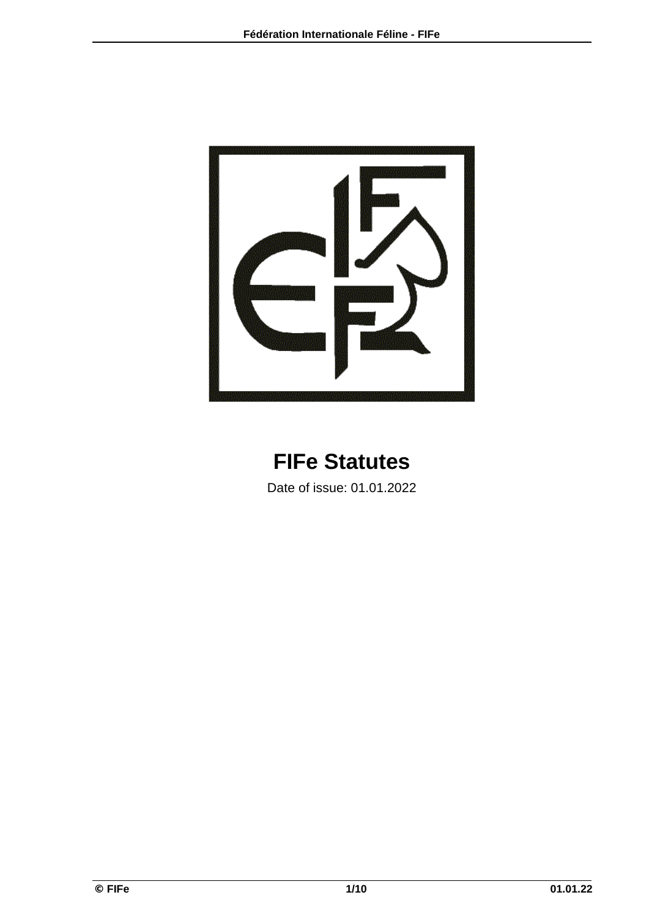

# **FIFe Statutes**

Date of issue: 01.01.2022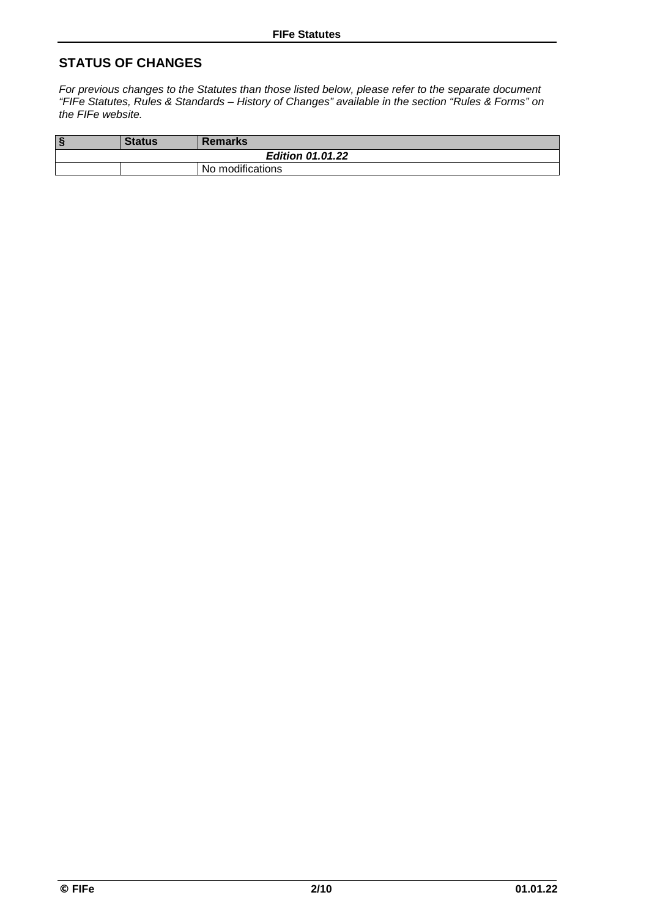# **STATUS OF CHANGES**

*For previous changes to the Statutes than those listed below, please refer to the separate document "FIFe Statutes, Rules & Standards – History of Changes" available in the section "Rules & Forms" on the FIFe website.* 

| $\sqrt{2}$              | <b>Status</b> | <b>Remarks</b>   |  |
|-------------------------|---------------|------------------|--|
| <b>Edition 01.01.22</b> |               |                  |  |
|                         |               | No modifications |  |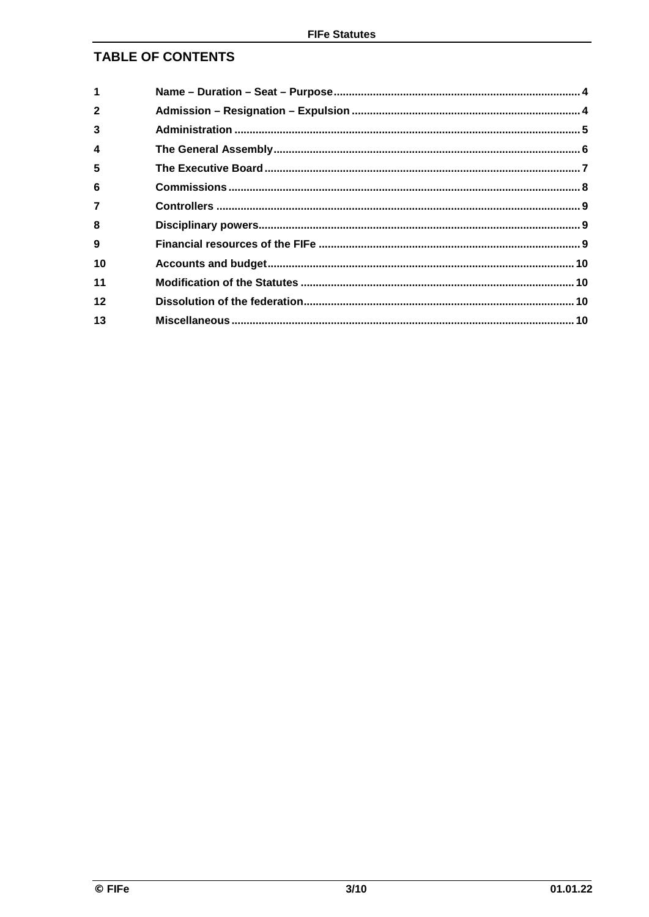# TABLE OF CONTENTS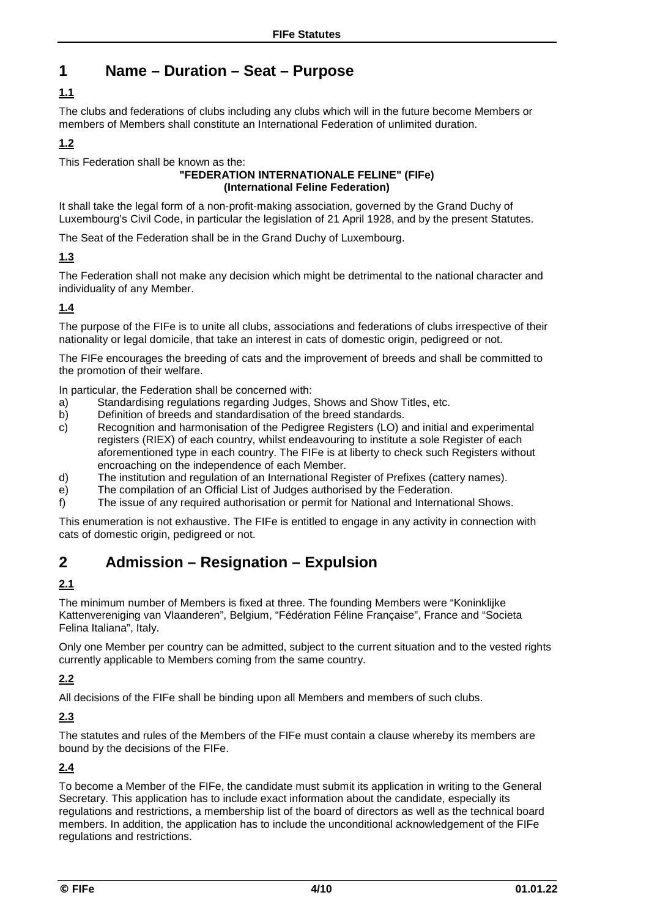# **1 Name – Duration – Seat – Purpose**

# **1.1**

The clubs and federations of clubs including any clubs which will in the future become Members or members of Members shall constitute an International Federation of unlimited duration.

# **1.2**

This Federation shall be known as the:

#### **"FEDERATION INTERNATIONALE FELINE" (FIFe) (International Feline Federation)**

It shall take the legal form of a non-profit-making association, governed by the Grand Duchy of Luxembourg's Civil Code, in particular the legislation of 21 April 1928, and by the present Statutes.

The Seat of the Federation shall be in the Grand Duchy of Luxembourg.

# **1.3**

The Federation shall not make any decision which might be detrimental to the national character and individuality of any Member.

# **1.4**

The purpose of the FIFe is to unite all clubs, associations and federations of clubs irrespective of their nationality or legal domicile, that take an interest in cats of domestic origin, pedigreed or not.

The FIFe encourages the breeding of cats and the improvement of breeds and shall be committed to the promotion of their welfare.

In particular, the Federation shall be concerned with:

- a) Standardising regulations regarding Judges, Shows and Show Titles, etc.
- b) Definition of breeds and standardisation of the breed standards.
- c) Recognition and harmonisation of the Pedigree Registers (LO) and initial and experimental registers (RIEX) of each country, whilst endeavouring to institute a sole Register of each aforementioned type in each country. The FIFe is at liberty to check such Registers without encroaching on the independence of each Member.
- d) The institution and regulation of an International Register of Prefixes (cattery names).
- e) The compilation of an Official List of Judges authorised by the Federation.
- f) The issue of any required authorisation or permit for National and International Shows.

This enumeration is not exhaustive. The FIFe is entitled to engage in any activity in connection with cats of domestic origin, pedigreed or not.

# **2 Admission – Resignation – Expulsion**

# **2.1**

The minimum number of Members is fixed at three. The founding Members were "Koninklijke Kattenvereniging van Vlaanderen", Belgium, "Fédération Féline Française", France and "Societa Felina Italiana", Italy.

Only one Member per country can be admitted, subject to the current situation and to the vested rights currently applicable to Members coming from the same country.

# **2.2**

All decisions of the FIFe shall be binding upon all Members and members of such clubs.

# **2.3**

The statutes and rules of the Members of the FIFe must contain a clause whereby its members are bound by the decisions of the FIFe.

# **2.4**

To become a Member of the FIFe, the candidate must submit its application in writing to the General Secretary. This application has to include exact information about the candidate, especially its regulations and restrictions, a membership list of the board of directors as well as the technical board members. In addition, the application has to include the unconditional acknowledgement of the FIFe regulations and restrictions.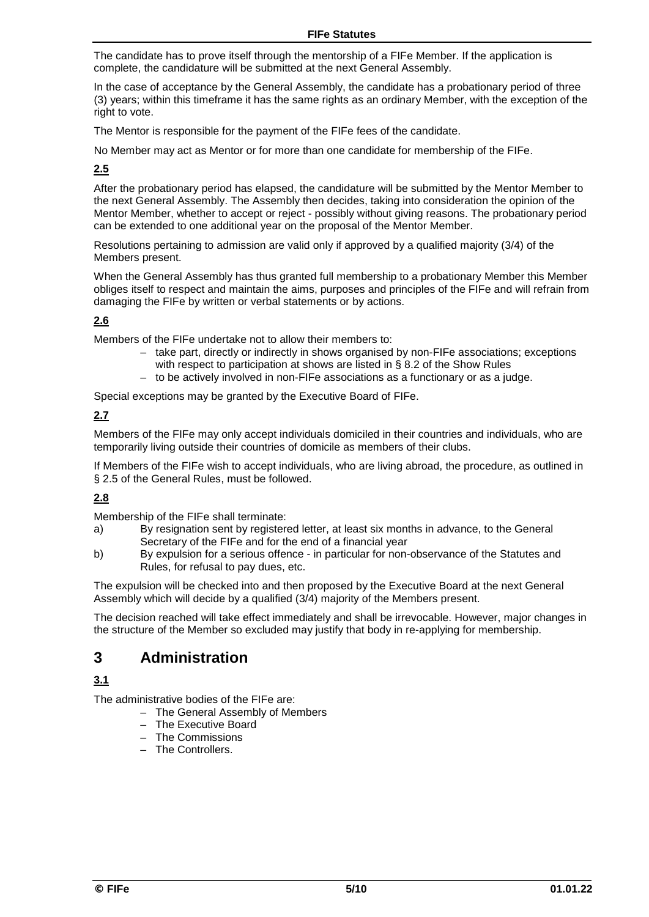#### **FIFe Statutes**

The candidate has to prove itself through the mentorship of a FIFe Member. If the application is complete, the candidature will be submitted at the next General Assembly.

In the case of acceptance by the General Assembly, the candidate has a probationary period of three (3) years; within this timeframe it has the same rights as an ordinary Member, with the exception of the right to vote.

The Mentor is responsible for the payment of the FIFe fees of the candidate.

No Member may act as Mentor or for more than one candidate for membership of the FIFe.

#### **2.5**

After the probationary period has elapsed, the candidature will be submitted by the Mentor Member to the next General Assembly. The Assembly then decides, taking into consideration the opinion of the Mentor Member, whether to accept or reject - possibly without giving reasons. The probationary period can be extended to one additional year on the proposal of the Mentor Member.

Resolutions pertaining to admission are valid only if approved by a qualified majority (3/4) of the Members present.

When the General Assembly has thus granted full membership to a probationary Member this Member obliges itself to respect and maintain the aims, purposes and principles of the FIFe and will refrain from damaging the FIFe by written or verbal statements or by actions.

#### **2.6**

Members of the FIFe undertake not to allow their members to:

- take part, directly or indirectly in shows organised by non-FIFe associations; exceptions with respect to participation at shows are listed in § 8.2 of the Show Rules
- to be actively involved in non-FIFe associations as a functionary or as a judge.

Special exceptions may be granted by the Executive Board of FIFe.

#### **2.7**

Members of the FIFe may only accept individuals domiciled in their countries and individuals, who are temporarily living outside their countries of domicile as members of their clubs.

If Members of the FIFe wish to accept individuals, who are living abroad, the procedure, as outlined in § 2.5 of the General Rules, must be followed.

#### **2.8**

Membership of the FIFe shall terminate:

- a) By resignation sent by registered letter, at least six months in advance, to the General Secretary of the FIFe and for the end of a financial year
- b) By expulsion for a serious offence in particular for non-observance of the Statutes and Rules, for refusal to pay dues, etc.

The expulsion will be checked into and then proposed by the Executive Board at the next General Assembly which will decide by a qualified (3/4) majority of the Members present.

The decision reached will take effect immediately and shall be irrevocable. However, major changes in the structure of the Member so excluded may justify that body in re-applying for membership.

# **3 Administration**

#### **3.1**

The administrative bodies of the FIFe are:

- The General Assembly of Members
- The Executive Board
- The Commissions
- The Controllers.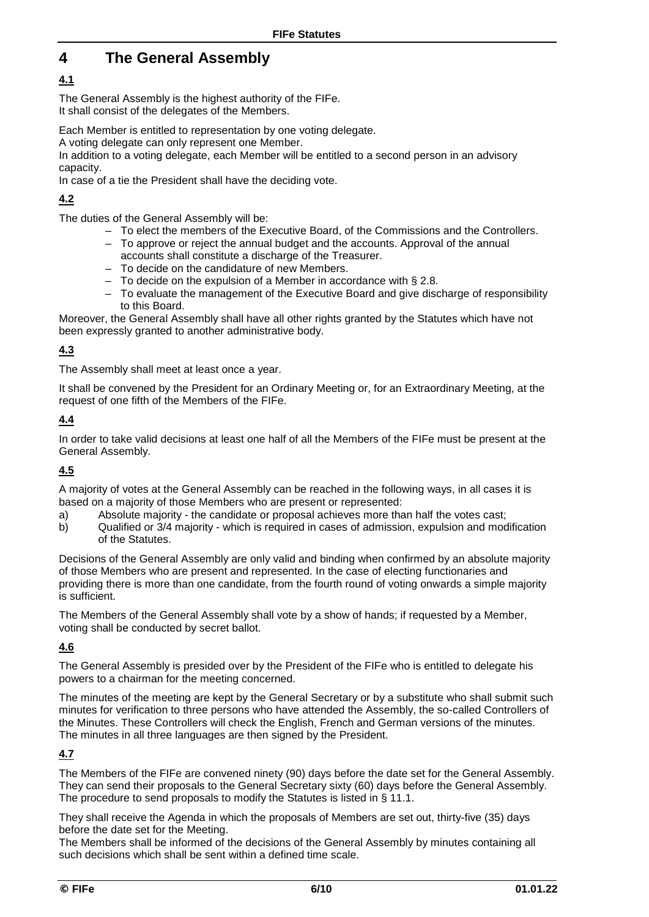# **4 The General Assembly**

# **4.1**

The General Assembly is the highest authority of the FIFe. It shall consist of the delegates of the Members.

Each Member is entitled to representation by one voting delegate.

A voting delegate can only represent one Member.

In addition to a voting delegate, each Member will be entitled to a second person in an advisory capacity.

In case of a tie the President shall have the deciding vote.

# **4.2**

The duties of the General Assembly will be:

- To elect the members of the Executive Board, of the Commissions and the Controllers.
- To approve or reject the annual budget and the accounts. Approval of the annual accounts shall constitute a discharge of the Treasurer.
- To decide on the candidature of new Members.
- To decide on the expulsion of a Member in accordance with § 2.8.
- To evaluate the management of the Executive Board and give discharge of responsibility to this Board.

Moreover, the General Assembly shall have all other rights granted by the Statutes which have not been expressly granted to another administrative body.

# **4.3**

The Assembly shall meet at least once a year.

It shall be convened by the President for an Ordinary Meeting or, for an Extraordinary Meeting, at the request of one fifth of the Members of the FIFe.

### **4.4**

In order to take valid decisions at least one half of all the Members of the FIFe must be present at the General Assembly.

# **4.5**

A majority of votes at the General Assembly can be reached in the following ways, in all cases it is based on a majority of those Members who are present or represented:

- a) Absolute majority the candidate or proposal achieves more than half the votes cast;<br>b) Qualified or 3/4 majority which is required in cases of admission, expulsion and mod
- b) Qualified or 3/4 majority which is required in cases of admission, expulsion and modification of the Statutes.

Decisions of the General Assembly are only valid and binding when confirmed by an absolute majority of those Members who are present and represented. In the case of electing functionaries and providing there is more than one candidate, from the fourth round of voting onwards a simple majority is sufficient.

The Members of the General Assembly shall vote by a show of hands; if requested by a Member, voting shall be conducted by secret ballot.

# **4.6**

The General Assembly is presided over by the President of the FIFe who is entitled to delegate his powers to a chairman for the meeting concerned.

The minutes of the meeting are kept by the General Secretary or by a substitute who shall submit such minutes for verification to three persons who have attended the Assembly, the so-called Controllers of the Minutes. These Controllers will check the English, French and German versions of the minutes. The minutes in all three languages are then signed by the President.

# **4.7**

The Members of the FIFe are convened ninety (90) days before the date set for the General Assembly. They can send their proposals to the General Secretary sixty (60) days before the General Assembly. The procedure to send proposals to modify the Statutes is listed in § 11.1.

They shall receive the Agenda in which the proposals of Members are set out, thirty-five (35) days before the date set for the Meeting.

The Members shall be informed of the decisions of the General Assembly by minutes containing all such decisions which shall be sent within a defined time scale.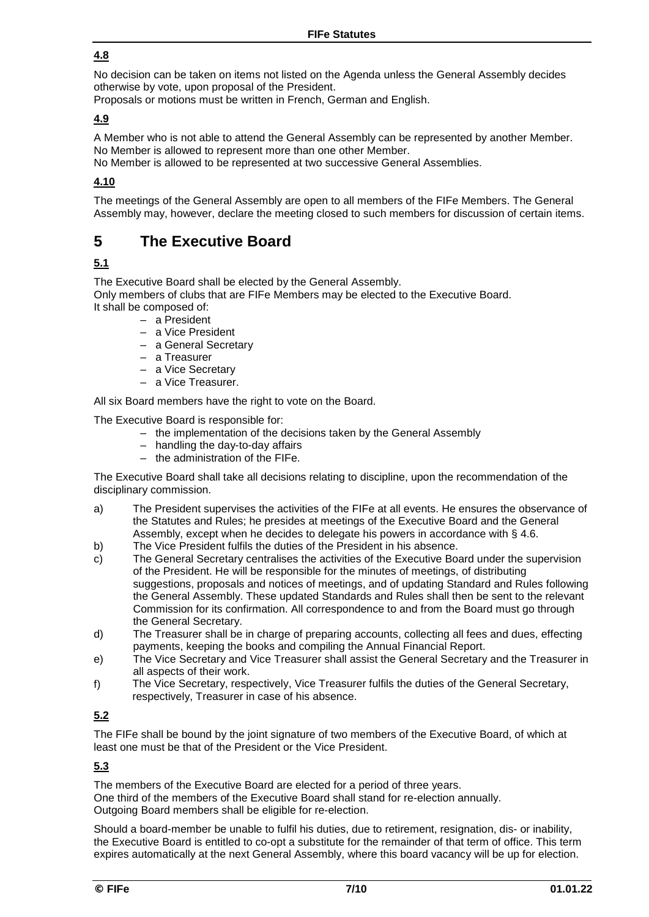### **4.8**

No decision can be taken on items not listed on the Agenda unless the General Assembly decides otherwise by vote, upon proposal of the President.

Proposals or motions must be written in French, German and English.

#### **4.9**

A Member who is not able to attend the General Assembly can be represented by another Member. No Member is allowed to represent more than one other Member.

No Member is allowed to be represented at two successive General Assemblies.

#### **4.10**

The meetings of the General Assembly are open to all members of the FIFe Members. The General Assembly may, however, declare the meeting closed to such members for discussion of certain items.

# **5 The Executive Board**

# **5.1**

The Executive Board shall be elected by the General Assembly.

Only members of clubs that are FIFe Members may be elected to the Executive Board. It shall be composed of:

- a President
- a Vice President
- a General Secretary
- a Treasurer
- a Vice Secretary
- a Vice Treasurer.

All six Board members have the right to vote on the Board.

The Executive Board is responsible for:

- the implementation of the decisions taken by the General Assembly
- handling the day-to-day affairs
- the administration of the FIFe.

The Executive Board shall take all decisions relating to discipline, upon the recommendation of the disciplinary commission.

- a) The President supervises the activities of the FIFe at all events. He ensures the observance of the Statutes and Rules; he presides at meetings of the Executive Board and the General Assembly, except when he decides to delegate his powers in accordance with § 4.6.
- b) The Vice President fulfils the duties of the President in his absence.
- c) The General Secretary centralises the activities of the Executive Board under the supervision of the President. He will be responsible for the minutes of meetings, of distributing suggestions, proposals and notices of meetings, and of updating Standard and Rules following the General Assembly. These updated Standards and Rules shall then be sent to the relevant Commission for its confirmation. All correspondence to and from the Board must go through the General Secretary.
- d) The Treasurer shall be in charge of preparing accounts, collecting all fees and dues, effecting payments, keeping the books and compiling the Annual Financial Report.
- e) The Vice Secretary and Vice Treasurer shall assist the General Secretary and the Treasurer in all aspects of their work.
- f) The Vice Secretary, respectively, Vice Treasurer fulfils the duties of the General Secretary, respectively, Treasurer in case of his absence.

# **5.2**

The FIFe shall be bound by the joint signature of two members of the Executive Board, of which at least one must be that of the President or the Vice President.

#### **5.3**

The members of the Executive Board are elected for a period of three years. One third of the members of the Executive Board shall stand for re-election annually. Outgoing Board members shall be eligible for re-election.

Should a board-member be unable to fulfil his duties, due to retirement, resignation, dis- or inability, the Executive Board is entitled to co-opt a substitute for the remainder of that term of office. This term expires automatically at the next General Assembly, where this board vacancy will be up for election.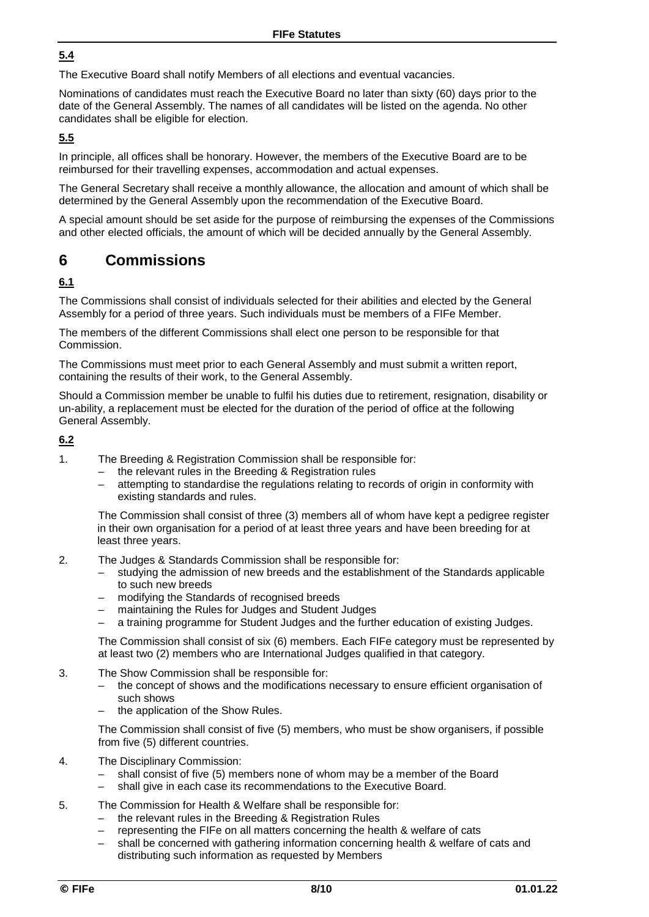### **5.4**

The Executive Board shall notify Members of all elections and eventual vacancies.

Nominations of candidates must reach the Executive Board no later than sixty (60) days prior to the date of the General Assembly. The names of all candidates will be listed on the agenda. No other candidates shall be eligible for election.

#### **5.5**

In principle, all offices shall be honorary. However, the members of the Executive Board are to be reimbursed for their travelling expenses, accommodation and actual expenses.

The General Secretary shall receive a monthly allowance, the allocation and amount of which shall be determined by the General Assembly upon the recommendation of the Executive Board.

A special amount should be set aside for the purpose of reimbursing the expenses of the Commissions and other elected officials, the amount of which will be decided annually by the General Assembly.

# **6 Commissions**

### **6.1**

The Commissions shall consist of individuals selected for their abilities and elected by the General Assembly for a period of three years. Such individuals must be members of a FIFe Member.

The members of the different Commissions shall elect one person to be responsible for that Commission.

The Commissions must meet prior to each General Assembly and must submit a written report, containing the results of their work, to the General Assembly.

Should a Commission member be unable to fulfil his duties due to retirement, resignation, disability or un-ability, a replacement must be elected for the duration of the period of office at the following General Assembly.

#### **6.2**

- 1. The Breeding & Registration Commission shall be responsible for:
	- the relevant rules in the Breeding & Registration rules
	- attempting to standardise the regulations relating to records of origin in conformity with existing standards and rules.

The Commission shall consist of three (3) members all of whom have kept a pedigree register in their own organisation for a period of at least three years and have been breeding for at least three years.

- 2. The Judges & Standards Commission shall be responsible for:
	- studying the admission of new breeds and the establishment of the Standards applicable to such new breeds
	- modifying the Standards of recognised breeds
	- maintaining the Rules for Judges and Student Judges
	- a training programme for Student Judges and the further education of existing Judges.

The Commission shall consist of six (6) members. Each FIFe category must be represented by at least two (2) members who are International Judges qualified in that category.

- 3. The Show Commission shall be responsible for:
	- the concept of shows and the modifications necessary to ensure efficient organisation of such shows
	- the application of the Show Rules.

The Commission shall consist of five (5) members, who must be show organisers, if possible from five (5) different countries.

- 4. The Disciplinary Commission:
	- shall consist of five (5) members none of whom may be a member of the Board  $-$  shall give in each case its recommendations to the Executive Board.
	- shall give in each case its recommendations to the Executive Board.
- 5. The Commission for Health & Welfare shall be responsible for:
	- the relevant rules in the Breeding & Registration Rules
	- representing the FIFe on all matters concerning the health & welfare of cats
	- shall be concerned with gathering information concerning health & welfare of cats and distributing such information as requested by Members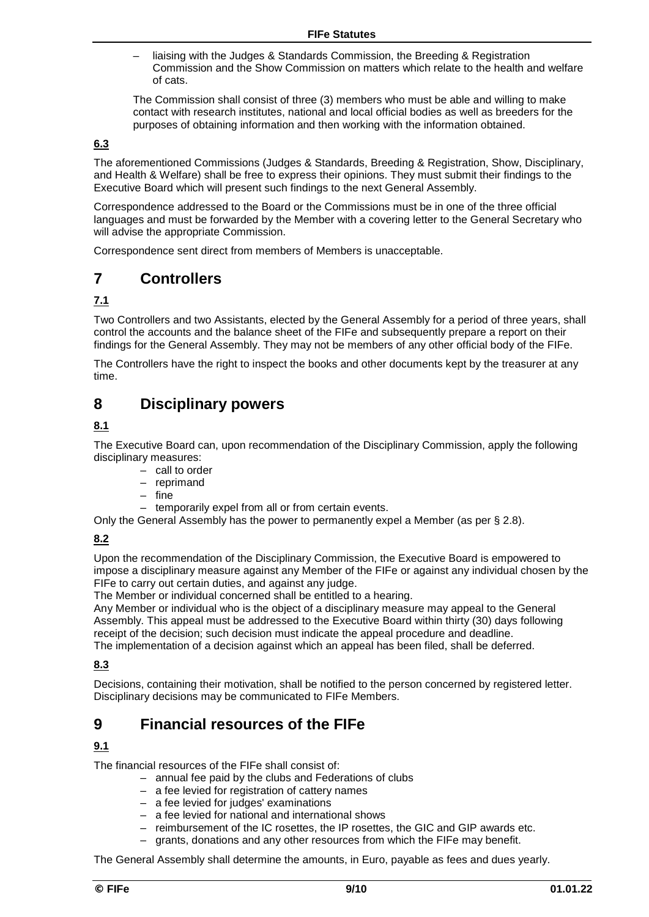liaising with the Judges & Standards Commission, the Breeding & Registration Commission and the Show Commission on matters which relate to the health and welfare of cats.

The Commission shall consist of three (3) members who must be able and willing to make contact with research institutes, national and local official bodies as well as breeders for the purposes of obtaining information and then working with the information obtained.

#### **6.3**

The aforementioned Commissions (Judges & Standards, Breeding & Registration, Show, Disciplinary, and Health & Welfare) shall be free to express their opinions. They must submit their findings to the Executive Board which will present such findings to the next General Assembly.

Correspondence addressed to the Board or the Commissions must be in one of the three official languages and must be forwarded by the Member with a covering letter to the General Secretary who will advise the appropriate Commission.

Correspondence sent direct from members of Members is unacceptable.

# **7 Controllers**

#### **7.1**

Two Controllers and two Assistants, elected by the General Assembly for a period of three years, shall control the accounts and the balance sheet of the FIFe and subsequently prepare a report on their findings for the General Assembly. They may not be members of any other official body of the FIFe.

The Controllers have the right to inspect the books and other documents kept by the treasurer at any time.

# **8 Disciplinary powers**

### **8.1**

The Executive Board can, upon recommendation of the Disciplinary Commission, apply the following disciplinary measures:

- call to order
- reprimand
- fine
- temporarily expel from all or from certain events.

Only the General Assembly has the power to permanently expel a Member (as per § 2.8).

#### **8.2**

Upon the recommendation of the Disciplinary Commission, the Executive Board is empowered to impose a disciplinary measure against any Member of the FIFe or against any individual chosen by the FIFe to carry out certain duties, and against any judge.

The Member or individual concerned shall be entitled to a hearing.

Any Member or individual who is the object of a disciplinary measure may appeal to the General Assembly. This appeal must be addressed to the Executive Board within thirty (30) days following receipt of the decision; such decision must indicate the appeal procedure and deadline.

The implementation of a decision against which an appeal has been filed, shall be deferred.

#### **8.3**

Decisions, containing their motivation, shall be notified to the person concerned by registered letter. Disciplinary decisions may be communicated to FIFe Members.

# **9 Financial resources of the FIFe**

#### **9.1**

The financial resources of the FIFe shall consist of:

- annual fee paid by the clubs and Federations of clubs
- a fee levied for registration of cattery names
- a fee levied for judges' examinations
- a fee levied for national and international shows
- reimbursement of the IC rosettes, the IP rosettes, the GIC and GIP awards etc.
- grants, donations and any other resources from which the FIFe may benefit.

The General Assembly shall determine the amounts, in Euro, payable as fees and dues yearly.